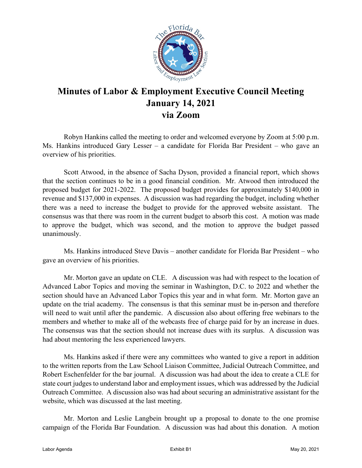

## **Minutes of Labor & Employment Executive Council Meeting January 14, 2021 via Zoom**

Robyn Hankins called the meeting to order and welcomed everyone by Zoom at 5:00 p.m. Ms. Hankins introduced Gary Lesser – a candidate for Florida Bar President – who gave an overview of his priorities.

Scott Atwood, in the absence of Sacha Dyson, provided a financial report, which shows that the section continues to be in a good financial condition. Mr. Atwood then introduced the proposed budget for 2021-2022. The proposed budget provides for approximately \$140,000 in revenue and \$137,000 in expenses. A discussion was had regarding the budget, including whether there was a need to increase the budget to provide for the approved website assistant. The consensus was that there was room in the current budget to absorb this cost. A motion was made to approve the budget, which was second, and the motion to approve the budget passed unanimously.

Ms. Hankins introduced Steve Davis – another candidate for Florida Bar President – who gave an overview of his priorities.

Mr. Morton gave an update on CLE. A discussion was had with respect to the location of Advanced Labor Topics and moving the seminar in Washington, D.C. to 2022 and whether the section should have an Advanced Labor Topics this year and in what form. Mr. Morton gave an update on the trial academy. The consensus is that this seminar must be in-person and therefore will need to wait until after the pandemic. A discussion also about offering free webinars to the members and whether to make all of the webcasts free of charge paid for by an increase in dues. The consensus was that the section should not increase dues with its surplus. A discussion was had about mentoring the less experienced lawyers.

Ms. Hankins asked if there were any committees who wanted to give a report in addition to the written reports from the Law School Liaison Committee, Judicial Outreach Committee, and Robert Eschenfelder for the bar journal. A discussion was had about the idea to create a CLE for state court judges to understand labor and employment issues, which was addressed by the Judicial Outreach Committee. A discussion also was had about securing an administrative assistant for the website, which was discussed at the last meeting.

Mr. Morton and Leslie Langbein brought up a proposal to donate to the one promise campaign of the Florida Bar Foundation. A discussion was had about this donation. A motion